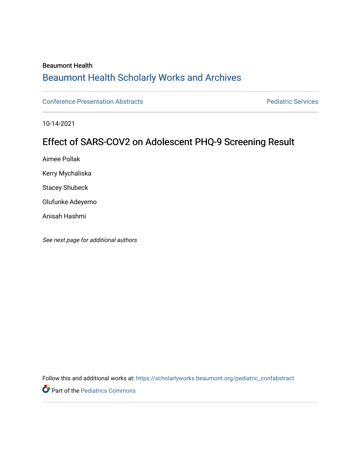#### Beaumont Health

## [Beaumont Health Scholarly Works and Archives](https://scholarlyworks.beaumont.org/)

[Conference Presentation Abstracts](https://scholarlyworks.beaumont.org/pediatric_confabstract) **Property Abstracts** Pediatric Services

10-14-2021

### Effect of SARS-COV2 on Adolescent PHQ-9 Screening Result

Aimee Pollak

Kerry Mychaliska

Stacey Shubeck

Olufunke Adeyemo

Anisah Hashmi

See next page for additional authors

Follow this and additional works at: [https://scholarlyworks.beaumont.org/pediatric\\_confabstract](https://scholarlyworks.beaumont.org/pediatric_confabstract?utm_source=scholarlyworks.beaumont.org%2Fpediatric_confabstract%2F6&utm_medium=PDF&utm_campaign=PDFCoverPages) 

**Part of the [Pediatrics Commons](http://network.bepress.com/hgg/discipline/700?utm_source=scholarlyworks.beaumont.org%2Fpediatric_confabstract%2F6&utm_medium=PDF&utm_campaign=PDFCoverPages)**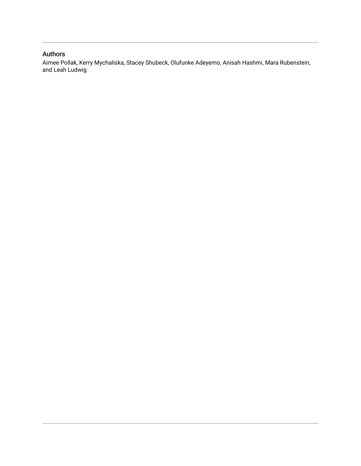### Authors

Aimee Pollak, Kerry Mychaliska, Stacey Shubeck, Olufunke Adeyemo, Anisah Hashmi, Mara Rubenstein, and Leah Ludwig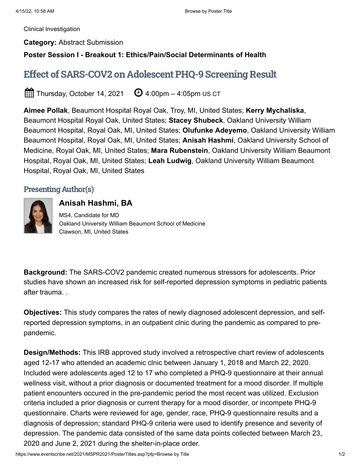[Clinical Investigation](https://www.eventscribe.net/2021/MSPR2021/searchbyposterbucket.asp?bm=Clinical+Investigation&t=Clinical+Investigation&pfp=Track)

**Category:** Abstract Submission

**Poster Session I - Breakout 1: Ethics/Pain/Social Determinants of Health**

# Effect of SARS-COV2 on Adolescent PHQ-9 Screening Result

 $\widehat{\boxplus}$  Thursday, October 14, 2021  $\quad$   $\Theta$  4:00pm – 4:05pm US CT

**Aimee Pollak**, Beaumont Hospital Royal Oak, Troy, MI, United States; **Kerry Mychaliska**, Beaumont Hospital Royal Oak, United States; **Stacey Shubeck**, Oakland University William Beaumont Hospital, Royal Oak, MI, United States; **Olufunke Adeyemo**, Oakland University William Beaumont Hospital, Royal Oak, MI, United States; **Anisah Hashmi**, Oakland University School of Medicine, Royal Oak, MI, United States; **Mara Rubenstein**, Oakland University William Beaumont Hospital, Royal Oak, MI, United States; **Leah Ludwig**, Oakland University William Beaumont Hospital, Royal Oak, MI, United States

### Presenting Author(s)



**Anisah Hashmi, BA** MS4, Candidate for MD Oakland University William Beaumont School of Medicine Clawson, MI, United States

**Background:** The SARS-COV2 pandemic created numerous stressors for adolescents. Prior studies have shown an increased risk for self-reported depression symptoms in pediatric patients after trauma. .

**Objectives:** This study compares the rates of newly diagnosed adolescent depression, and selfreported depression symptoms, in an outpatient clnic during the pandemic as compared to prepandemic.

**Design/Methods:** This IRB approved study involved a retrospective chart review of adolescents aged 12-17 who attended an academic clnic between January 1, 2018 and March 22, 2020. Included were adolescents aged 12 to 17 who completed a PHQ-9 questionnaire at their annual wellness visit, without a prior diagnosis or documented treatment for a mood disorder. If multiple patient encounters occured in the pre-pandemic period the most recent was utilized. Exclusion criteria included a prior diagnosis or current therapy for a mood disorder, or incompete PHQ-9 questionnaire. Charts were reviewed for age, gender, race, PHQ-9 questionnaire results and a diagnosis of depression; standard PHQ-9 criteria were used to identify presence and severity of depression. The pandemic data consisted of the same data points collected between March 23, 2020 and June 2, 2021 during the shelter-in-place order.